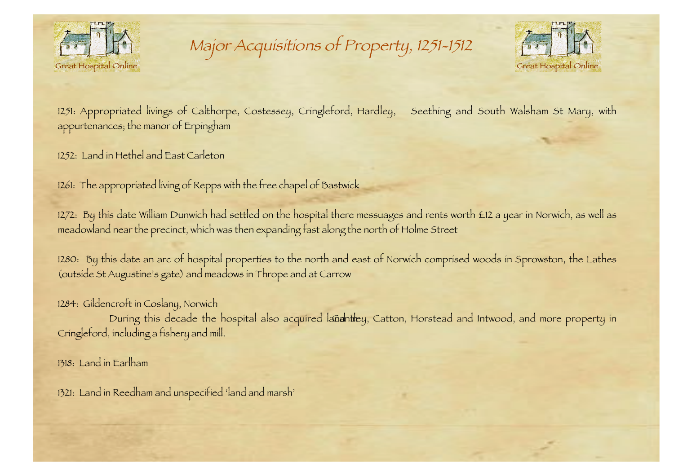

Major Acquisitions of Property, 1251-1512



1251: Appropriated livings of Calthorpe, Costessey, Cringleford, Hardley, Seething and South Walsham St Mary, with appurtenances; the manor of Erpingham

1252: Land in Hethel and East Carleton

1261: The appropriated living of Repps with the free chapel of Bastwick

1272: By this date William Dunwich had settled on the hospital there messuages and rents worth £12 a year in Norwich, as well as meadowland near the precinct, which was then expanding fast along the north of Holme Street

1280: By this date an arc of hospital properties to the north and east of Norwich comprised woods in Sprowston, the Lathes (outside St Augustine's gate) and meadows in Thrope and at Carrow

1284: Gildencroft in Coslany, Norwich

During this decade the hospital also acquired lanantiley, Catton, Horstead and Intwood, and more property in Cringleford, including a fishery and mill.

1318: Land in Earlham

1321: Land in Reedham and unspecified 'land and marsh'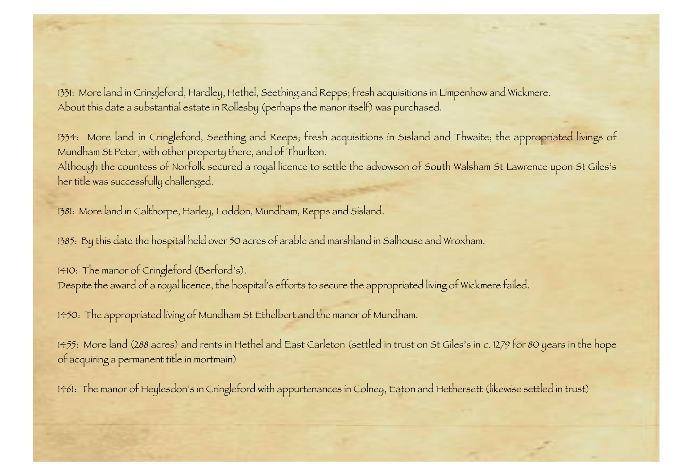1331: More land in Cringleford, Hardley, Hethel, Seething and Repps; fresh acquisitions in Limpenhow and Wickmere. About this date a substantial estate in Rollesby (perhaps the manor itself) was purchased.

1334: More land in Cringleford, Seething and Reeps; fresh acquisitions in Sisland and Thwaite; the appropriated livings of Mundham St Peter, with other property there, and of Thurlton. Although the countess of Norfolk secured a royal licence to settle the advowson of South Walsham St Lawrence upon St Giles's her title was successfully challenged.

1381: More land in Calthorpe, Harley, Loddon, Mundham, Repps and Sisland.

1385: By this date the hospital held over 50 acres of arable and marshland in Salhouse and Wroxham.

1410: The manor of Cringleford (Berford's). Despite the award of a royal licence, the hospital's efforts to secure the appropriated living of Wickmere failed.

1450: The appropriated living of Mundham St Ethelbert and the manor of Mundham.

1455: More land (288 acres) and rents in Hethel and East Carleton (settled in trust on St Giles's in <sup>c</sup>. 1279 for 80 years in the hope of acquiring a permanent title in mortmain)

1461: The manor of Heylesdon's in Cringleford with appurtenances in Colney, Eaton and Hethersett (likewise settled in trust)